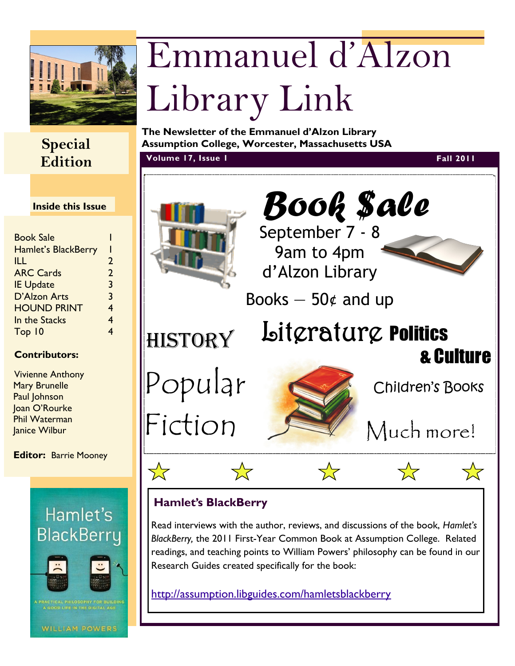

## **Edition**

#### **Inside this Issue**

| <b>Book Sale</b>           |                |
|----------------------------|----------------|
| <b>Hamlet's BlackBerry</b> |                |
| ILL                        | 2              |
| <b>ARC Cards</b>           | $\overline{2}$ |
| <b>IE Update</b>           | 3              |
| D'Alzon Arts               | 3              |
| <b>HOUND PRINT</b>         | 4              |
| In the Stacks              | 4              |
| Top 10                     |                |
|                            |                |

#### **Contributors:**

Vivienne Anthony Mary Brunelle Paul Johnson Joan O'Rourke Phil Waterman Janice Wilbur

**Editor:** Barrie Mooney



# Emmanuel d'Alzon Library Link

**The Newsletter of the Emmanuel d'Alzon Library Special Assumption College, Worcester, Massachusetts USA**

**Volume 17, Issue 1 Fall 2011**



Read interviews with the author, reviews, and discussions of the book, *Hamlet's BlackBerry,* the 2011 First-Year Common Book at Assumption College. Related readings, and teaching points to William Powers' philosophy can be found in our Research Guides created specifically for the book:

<http://assumption.libguides.com/hamletsblackberry>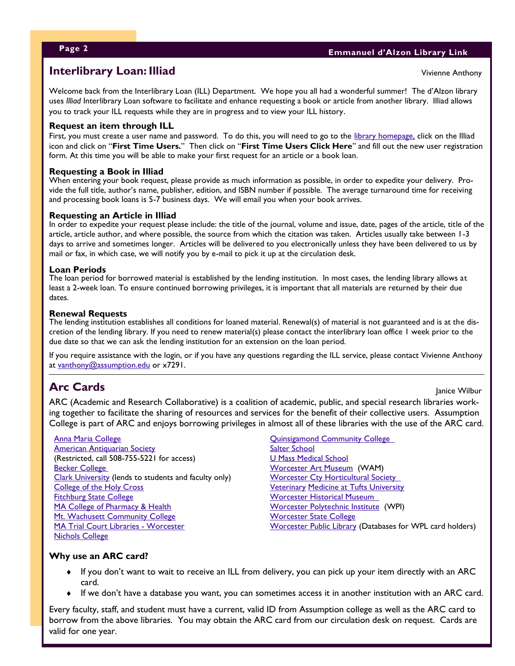Vivienne Anthony

### **Interlibrary Loan: Illiad**

Welcome back from the Interlibrary Loan (ILL) Department. We hope you all had a wonderful summer! The d'Alzon library uses *Illiad* Interlibrary Loan software to facilitate and enhance requesting a book or article from another library. Illiad allows you to track your ILL requests while they are in progress and to view your ILL history.

#### **Request an item through ILL**

First, you must create a user name and password. To do this, you will need to go to the [library homepage,](http://www1.assumption.edu/dept/library/default.html) click on the Illiad icon and click on "**First Time Users.**" Then click on "**First Time Users Click Here**" and fill out the new user registration form. At this time you will be able to make your first request for an article or a book loan.

#### **Requesting a Book in Illiad**

When entering your book request, please provide as much information as possible, in order to expedite your delivery. Provide the full title, author's name, publisher, edition, and ISBN number if possible. The average turnaround time for receiving and processing book loans is 5-7 business days. We will email you when your book arrives.

#### **Requesting an Article in Illiad**

In order to expedite your request please include: the title of the journal, volume and issue, date, pages of the article, title of the article, article author, and where possible, the source from which the citation was taken. Articles usually take between 1-3 days to arrive and sometimes longer. Articles will be delivered to you electronically unless they have been delivered to us by mail or fax, in which case, we will notify you by e-mail to pick it up at the circulation desk.

#### **Loan Periods**

The loan period for borrowed material is established by the lending institution. In most cases, the lending library allows at least a 2-week loan. To ensure continued borrowing privileges, it is important that all materials are returned by their due dates.

#### **Renewal Requests**

The lending institution establishes all conditions for loaned material. Renewal(s) of material is not guaranteed and is at the discretion of the lending library. If you need to renew material(s) please contact the interlibrary loan office 1 week prior to the due date so that we can ask the lending institution for an extension on the loan period.

If you require assistance with the login, or if you have any questions regarding the ILL service, please contact Vivienne Anthony at [vanthony@assumption.edu](mailto:vanthony@assumption.edu) or x7291.

## **Arc Cards** Janice Wilbur

ARC (Academic and Research Collaborative) is a coalition of academic, public, and special research libraries working together to facilitate the sharing of resources and services for the benefit of their collective users. Assumption College is part of ARC and enjoys borrowing privileges in almost all of these libraries with the use of the ARC card.

#### [Anna Maria College](http://cmars.cwmars.org/search%7ES1/)

[American Antiquarian Society](http://catalog.mwa.org/) (Restricted, call 508-755-5221 for access) [Becker College](http://beckercollege.edu/) [Clark University](http://voyager.clarku.edu/cgi-bin/Pwebrecon.cgi?DB=local&PAGE=First) (lends to students and faculty only) [College of the Holy Cross](http://library.holycross.edu/) [Fitchburg State College](http://www.fsc.edu/library/) MA College of Pharmacy & Health [Mt. Wachusett Community College](http://cmars.cwmars.org/search%7ES38/) [MA Trial Court Libraries -](http://www.lawlib.state.ma.us/index.html) Worcester [Nichols College](http://www.nichols.edu/Winnebago/search/search.asp)

[Quinsigamond Community College](http://www.qcc.mass.edu/library/) 

[Salter School](http://www.saltercollege.com/Library/22/) [U Mass Medical School](http://library.umassmed.edu/) [Worcester Art Museum](http://www.worcesterart.org/Collection/library.html) (WAM) Worcester Cty Horticultural Society [Veterinary](http://www.library.tufts.edu/vet/index.html) [Medicine at Tufts University](http://www.library.tufts.edu/vet/index.html) [Worcester Historical Museum](http://www.worcesterhistory.org/library.html)  [Worcester Polytechnic Institute](http://www.wpi.edu/Academics/Library/) (WPI) [Worcester State College](http://voyager.worcester.edu/cgi-bin/Pwebrecon.cgi?DB=local&PAGE=First) [Worcester Public Library](http://www.worcpublib.org/) (Databases for WPL card holders)

#### **Why use an ARC card?**

- If you don't want to wait to receive an ILL from delivery, you can pick up your item directly with an ARC card.
- If we don't have a database you want, you can sometimes access it in another institution with an ARC card.

Every faculty, staff, and student must have a current, valid ID from Assumption college as well as the ARC card to borrow from the above libraries. You may obtain the ARC card from our circulation desk on request. Cards are valid for one year.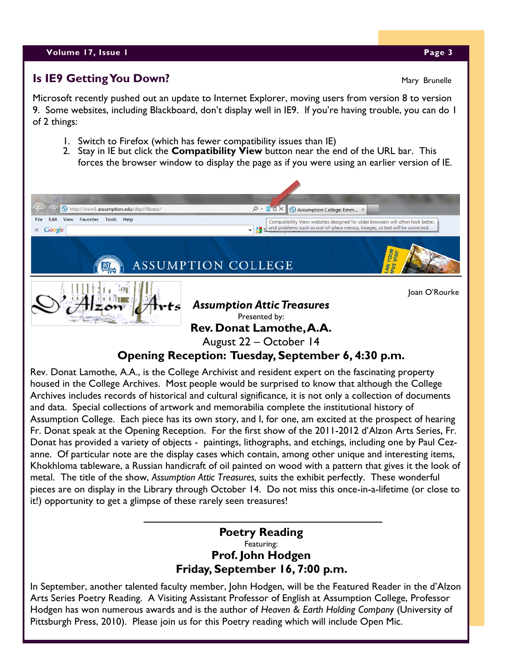#### **Volume 17, Issue 1 Page 3**

#### **Is IE9 Getting You Down?**

Microsoft recently pushed out an update to Internet Explorer, moving users from version 8 to version 9. Some websites, including Blackboard, don't display well in IE9. If you're having trouble, you can do 1 of 2 things:

- 1. Switch to Firefox (which has fewer compatibility issues than IE)
- 2. Stay in IE but click the **Compatibility View** button near the end of the URL bar. This forces the browser window to display the page as if you were using an earlier version of IE.



housed in the College Archives. Most people would be surprised to know that although the College Archives includes records of historical and cultural significance, it is not only a collection of documents and data. Special collections of artwork and memorabilia complete the institutional history of Assumption College. Each piece has its own story, and I, for one, am excited at the prospect of hearing Fr. Donat speak at the Opening Reception. For the first show of the 2011-2012 d'Alzon Arts Series, Fr. Donat has provided a variety of objects - paintings, lithographs, and etchings, including one by Paul Cezanne. Of particular note are the display cases which contain, among other unique and interesting items, Khokhloma tableware, a Russian handicraft of oil painted on wood with a pattern that gives it the look of metal. The title of the show, *Assumption Attic Treasures,* suits the exhibit perfectly. These wonderful pieces are on display in the Library through October 14. Do not miss this once-in-a-lifetime (or close to it!) opportunity to get a glimpse of these rarely seen treasures!

#### **Poetry Reading** Featuring: **Prof. John Hodgen Friday, September 16, 7:00 p.m.**

In September, another talented faculty member, John Hodgen, will be the Featured Reader in the d'Alzon Arts Series Poetry Reading. A Visiting Assistant Professor of English at Assumption College, Professor Hodgen has won numerous awards and is the author of *Heaven & Earth Holding Company* (University of Pittsburgh Press, 2010). Please join us for this Poetry reading which will include Open Mic.

Mary Brunelle